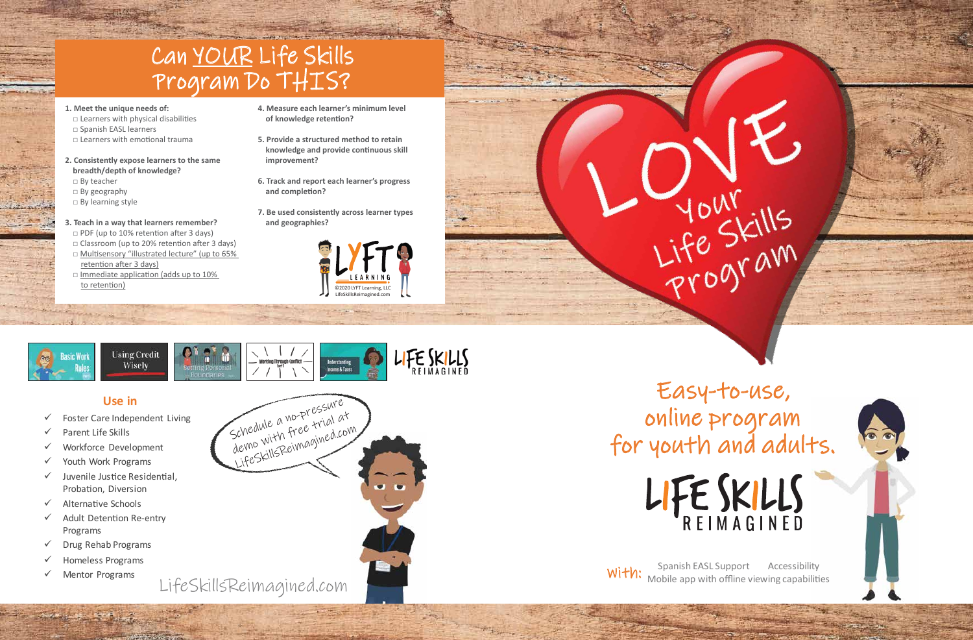### **Use in**

- $\checkmark$  Foster Care Independent Living
- $\checkmark$  Parent Life Skills
- Workforce Development
- $\checkmark$  Youth Work Programs
- $\checkmark$  Juvenile Justice Residential, Probation, Diversion
- $\checkmark$  Alternative Schools
- $\checkmark$  Adult Detention Re-entry Programs
- $\checkmark$  Drug Rehab Programs
- $\checkmark$  Homeless Programs
- $\checkmark$  Mentor Programs

# Easy-to-use, online program for youth and adults. LIFE SKILLS

Spanish EASL Support Accessibility<br>With: Mobile ann with offline viewing canabiliti Mobile app with offline viewing capabilities



- **1. Meet the unique needs of:**
- $\Box$  Learners with physical disabilities □ Spanish EASL learners
- □ Learners with emo�onal trauma
- **2. Consistently expose learners to the same breadth/depth of knowledge?** □ By teacher
- □ By geography
- □ By learning style
- **3. Teach in a way that learners remember?** □ PDF (up to 10% retention after 3 days)
- $\Box$  Classroom (up to 20% retention after 3 days)
- □ Multisensory "illustrated lecture" (up to 65% retention after 3 days)
- $\square$  Immediate application (adds up to 10%) to retention)





YOUN YOUNG

- **4. Measure each learner's minimum level**  of knowledge retention?
- **5. Provide a structured method to retain knowledge and provide continuous skill improvement?**
- **6. Track and report each learner's progress**  and completion?
- **7. Be used consistently across learner types and geographies?**







## Can YOUR Life Skills Program Do THIS?